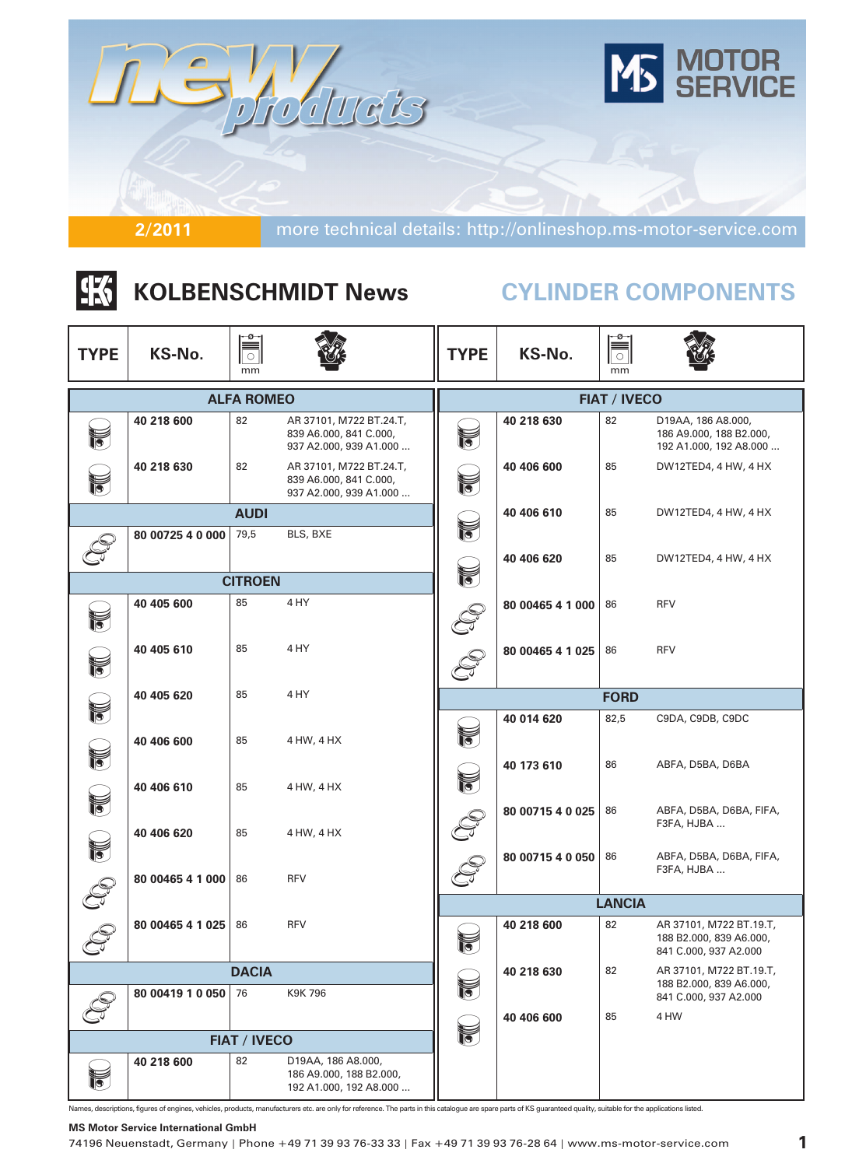

# |张 **KOLBENSCHMIDT News**

# **CYLINDER COMPONENTS**

| <b>TYPE</b>           | KS-No.           | mm                  |                                                                             | <b>TYPE</b> | $\overline{\overline{\overline{\overline{C}}}}$<br>KS-No.<br>mm |                     |                                                                             |  |  |
|-----------------------|------------------|---------------------|-----------------------------------------------------------------------------|-------------|-----------------------------------------------------------------|---------------------|-----------------------------------------------------------------------------|--|--|
|                       |                  | <b>ALFA ROMEO</b>   |                                                                             |             |                                                                 | <b>FIAT / IVECO</b> |                                                                             |  |  |
| $\blacksquare$        | 40 218 600       | 82                  | AR 37101, M722 BT.24.T,<br>839 A6.000, 841 C.000,<br>937 A2.000, 939 A1.000 | F           | 40 218 630                                                      | 82                  | D19AA, 186 A8.000,<br>186 A9.000, 188 B2.000,<br>192 A1.000, 192 A8.000     |  |  |
| $\breve{\mathbf{b}}$  | 40 218 630       | 82                  | AR 37101, M722 BT.24.T,<br>839 A6.000, 841 C.000,<br>937 A2.000, 939 A1.000 | F           | 40 406 600                                                      | 85                  | DW12TED4, 4 HW, 4 HX                                                        |  |  |
|                       |                  | <b>AUDI</b>         |                                                                             |             | 40 406 610                                                      | 85                  | DW12TED4, 4 HW, 4 HX                                                        |  |  |
|                       | 80 00725 4 0 000 | 79,5                | BLS, BXE                                                                    | f           |                                                                 |                     |                                                                             |  |  |
|                       |                  |                     |                                                                             | f           | 40 406 620                                                      | 85                  | DW12TED4, 4 HW, 4 HX                                                        |  |  |
|                       |                  | <b>CITROEN</b>      |                                                                             |             |                                                                 |                     |                                                                             |  |  |
| F                     | 40 405 600       | 85                  | 4 HY                                                                        |             | 80 00465 4 1 000                                                | 86                  | <b>RFV</b>                                                                  |  |  |
| f                     | 40 405 610       | 85                  | 4 HY                                                                        |             | 80 00465 4 1 025                                                | 86                  | <b>RFV</b>                                                                  |  |  |
|                       | 40 405 620       | 85                  | 4 HY                                                                        |             |                                                                 | <b>FORD</b>         |                                                                             |  |  |
| f                     | 40 406 600       | 85                  | 4 HW, 4 HX                                                                  | F           | 40 014 620                                                      | 82,5                | C9DA, C9DB, C9DC                                                            |  |  |
| f                     | 40 406 610       | 85                  | 4 HW, 4 HX                                                                  | F           | 40 173 610                                                      | 86                  | ABFA, D5BA, D6BA                                                            |  |  |
| $\blacktriangleright$ | 40 406 620       | 85                  | 4 HW, 4 HX                                                                  |             | 80 00715 4 0 025                                                | 86                  | ABFA, D5BA, D6BA, FIFA,<br>F3FA, HJBA                                       |  |  |
| F                     | 80 00465 4 1 000 | 86                  | <b>RFV</b>                                                                  |             | 80 00715 4 0 050                                                | 86                  | ABFA, D5BA, D6BA, FIFA,<br>F3FA, HJBA                                       |  |  |
|                       |                  |                     |                                                                             |             |                                                                 | <b>LANCIA</b>       |                                                                             |  |  |
|                       | 80 00465 4 1 025 | 86                  | <b>RFV</b>                                                                  | ¥<br>U      | 40 218 600                                                      | 82                  | AR 37101, M722 BT.19.T,<br>188 B2.000, 839 A6.000,<br>841 C.000, 937 A2.000 |  |  |
|                       |                  | <b>DACIA</b>        |                                                                             |             | 40 218 630                                                      | 82                  | AR 37101, M722 BT.19.T,                                                     |  |  |
|                       | 80 00419 1 0 050 | 76                  | K9K 796                                                                     | F           |                                                                 |                     | 188 B2.000, 839 A6.000,<br>841 C.000, 937 A2.000                            |  |  |
|                       |                  |                     |                                                                             |             | 40 406 600                                                      | 85                  | 4 HW                                                                        |  |  |
|                       |                  | <b>FIAT / IVECO</b> |                                                                             | V           |                                                                 |                     |                                                                             |  |  |
| $\triangledown$       | 40 218 600       | 82                  | D19AA, 186 A8.000,<br>186 A9.000, 188 B2.000,<br>192 A1.000, 192 A8.000     |             |                                                                 |                     |                                                                             |  |  |

Names, descriptions, figures of engines, vehicles, products, manufacturers etc. are only for reference. The parts in this catalogue are spare parts of KS guaranteed quality, suitable for the applications listed.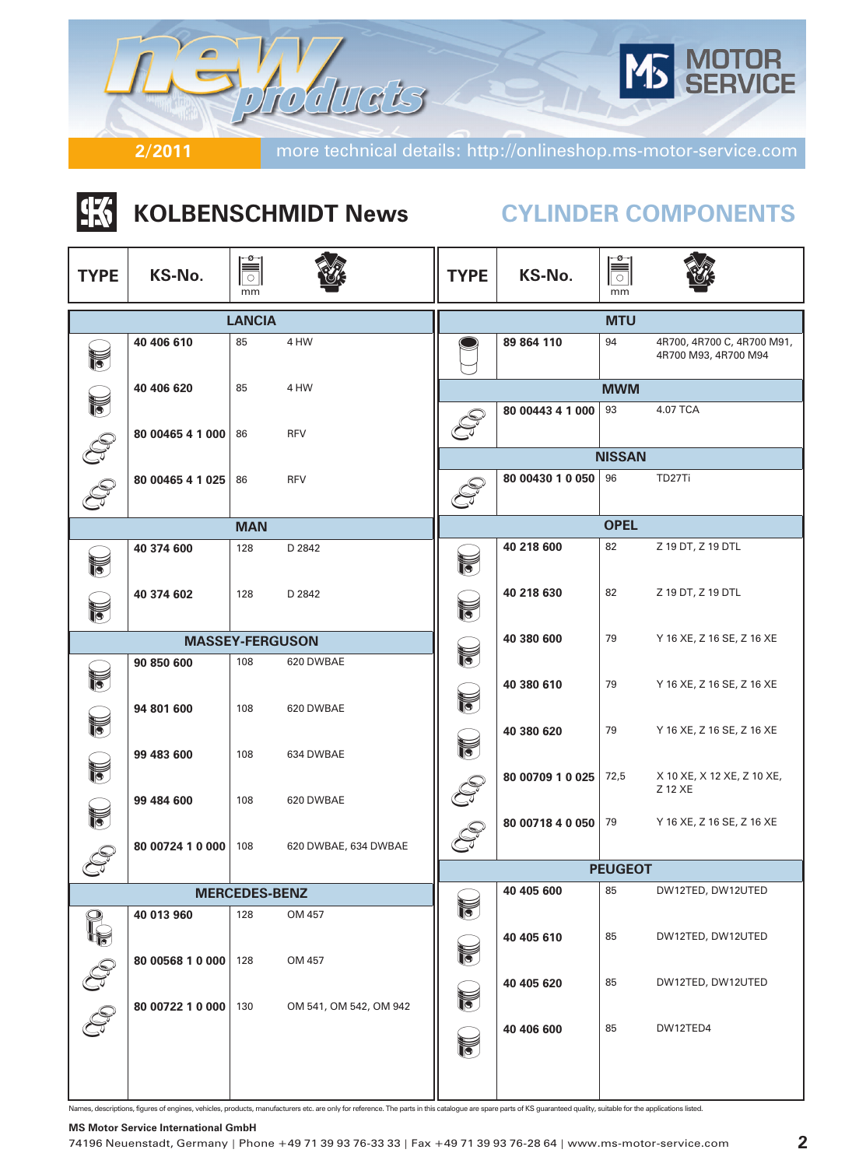

# |张 **KOLBENSCHMIDT News CYLINDER COMPONENTS**

| <b>TYPE</b>                               | KS-No.           | -⊘–<br>═<br>$\circ$<br>mm |                        | <b>TYPE</b>          | KS-No.           | ⊸ø⊸<br>$\blacksquare$<br>mm |                                                    |  |  |
|-------------------------------------------|------------------|---------------------------|------------------------|----------------------|------------------|-----------------------------|----------------------------------------------------|--|--|
|                                           |                  | <b>LANCIA</b>             |                        | <b>MTU</b>           |                  |                             |                                                    |  |  |
| ig.                                       | 40 406 610       | 85                        | 4 HW                   |                      | 89 864 110       | 94                          | 4R700, 4R700 C, 4R700 M91,<br>4R700 M93, 4R700 M94 |  |  |
|                                           | 40 406 620       | 85                        | 4 HW                   |                      |                  | <b>MWM</b>                  |                                                    |  |  |
|                                           | 80 00465 4 1 000 | 86                        | <b>RFV</b>             |                      | 80 00443 4 1 000 | 93                          | 4.07 TCA                                           |  |  |
|                                           |                  |                           |                        |                      |                  | <b>NISSAN</b>               |                                                    |  |  |
|                                           | 80 00465 4 1 025 | 86                        | <b>RFV</b>             |                      | 80 00430 1 0 050 | 96                          | TD27Ti                                             |  |  |
|                                           |                  | <b>MAN</b>                |                        |                      |                  | <b>OPEL</b>                 |                                                    |  |  |
| $\widetilde{\widetilde{\phantom{a}}\!\!}$ | 40 374 600       | 128                       | D 2842                 | F                    | 40 218 600       | 82                          | Z 19 DT, Z 19 DTL                                  |  |  |
| f                                         | 40 374 602       | 128                       | D 2842                 | $\tilde{\mathbf{v}}$ | 40 218 630       | 82                          | Z 19 DT, Z 19 DTL                                  |  |  |
|                                           |                  | <b>MASSEY-FERGUSON</b>    |                        |                      | 40 380 600       | 79                          | Y 16 XE, Z 16 SE, Z 16 XE                          |  |  |
|                                           | 90 850 600       | 108                       | 620 DWBAE              | F                    |                  |                             |                                                    |  |  |
| F                                         | 94 801 600       | 108                       | 620 DWBAE              | $\mathbb{N}$         | 40 380 610       | 79                          | Y 16 XE, Z 16 SE, Z 16 XE                          |  |  |
| f                                         | 99 483 600       | 108                       | 634 DWBAE              | $\blacksquare$       | 40 380 620       | 79                          | Y 16 XE, Z 16 SE, Z 16 XE                          |  |  |
| 12                                        | 99 484 600       | 108                       | 620 DWBAE              |                      | 80 00709 1 0 025 | 72,5                        | X 10 XE, X 12 XE, Z 10 XE,<br>Z 12 XE              |  |  |
|                                           | 80 00724 1 0 000 | 108                       | 620 DWBAE, 634 DWBAE   |                      | 80 00718 4 0 050 | 79                          | Y 16 XE, Z 16 SE, Z 16 XE                          |  |  |
|                                           |                  |                           |                        |                      |                  | <b>PEUGEOT</b>              |                                                    |  |  |
|                                           |                  | <b>MERCEDES-BENZ</b>      |                        |                      | 40 405 600       | 85                          | DW12TED, DW12UTED                                  |  |  |
|                                           | 40 013 960       | 128                       | OM 457                 |                      |                  |                             |                                                    |  |  |
| P.                                        | 80 00568 1 0 000 | 128                       | OM 457                 | F                    | 40 405 610       | 85                          | DW12TED, DW12UTED                                  |  |  |
| $\mathbb{S}$                              | 80 00722 1 0 000 | 130                       | OM 541, OM 542, OM 942 | F                    | 40 405 620       | 85                          | DW12TED, DW12UTED                                  |  |  |
|                                           |                  |                           |                        | f                    | 40 406 600       | 85                          | DW12TED4                                           |  |  |
|                                           |                  |                           |                        |                      |                  |                             |                                                    |  |  |

Names, descriptions, figures of engines, vehicles, products, manufacturers etc. are only for reference. The parts in this catalogue are spare parts of KS guaranteed quality, suitable for the applications listed.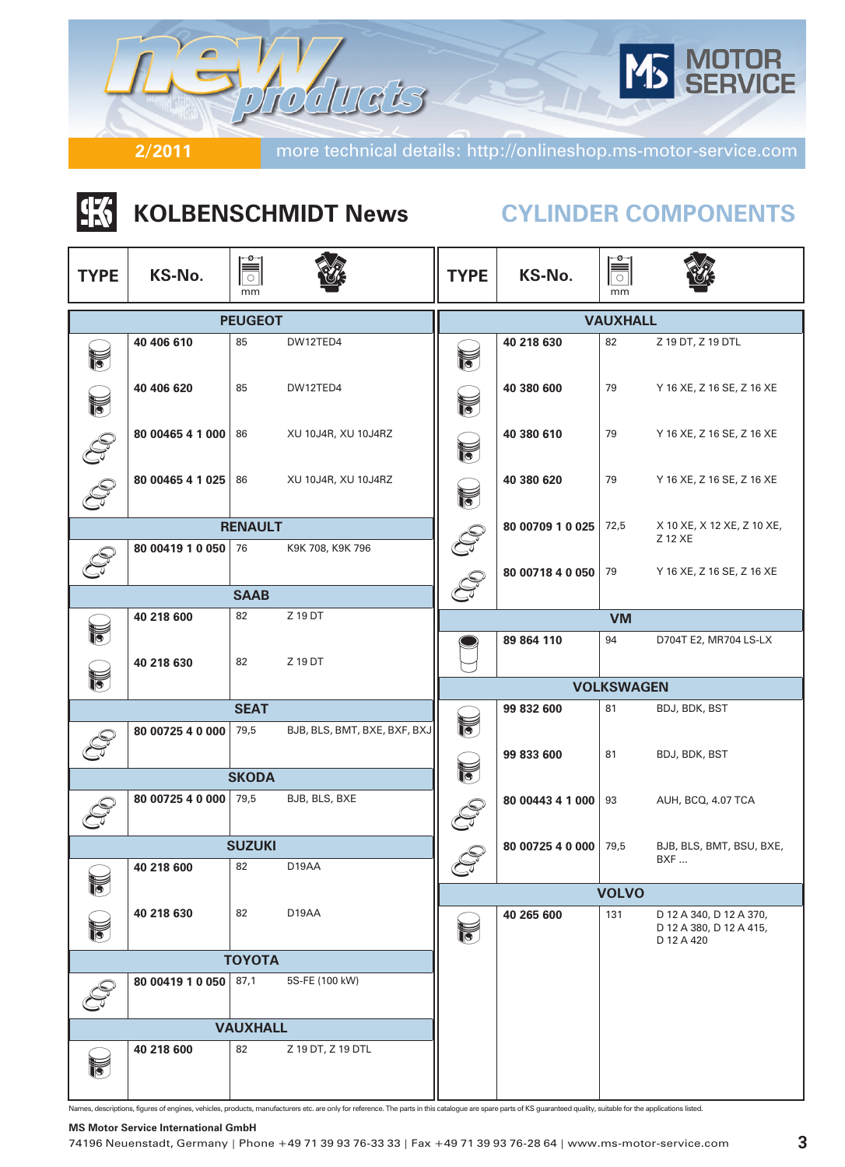

# **K KOLBENSCHMIDT News CYLINDER COMPONENTS**

| <b>TYPE</b> | KS-No.           | ≌<br>$\circ$<br>mm |                              | <b>TYPE</b>       | KS-No.           | ≡ّ<br>$\circ$<br>mm |                                                                  |  |
|-------------|------------------|--------------------|------------------------------|-------------------|------------------|---------------------|------------------------------------------------------------------|--|
|             |                  | <b>PEUGEOT</b>     |                              | <b>VAUXHALL</b>   |                  |                     |                                                                  |  |
| 肾           | 40 406 610       | 85                 | DW12TED4                     | f                 | 40 218 630       | 82                  | Z 19 DT, Z 19 DTL                                                |  |
|             | 40 406 620       | 85                 | DW12TED4                     | F                 | 40 380 600       | 79                  | Y 16 XE, Z 16 SE, Z 16 XE                                        |  |
|             | 80 00465 4 1 000 | 86                 | XU 10J4R, XU 10J4RZ          | F                 | 40 380 610       | 79                  | Y 16 XE, Z 16 SE, Z 16 XE                                        |  |
|             | 80 00465 4 1 025 | 86                 | XU 10J4R, XU 10J4RZ          | 40 380 620<br>V   |                  | 79                  | Y 16 XE, Z 16 SE, Z 16 XE                                        |  |
|             |                  | <b>RENAULT</b>     |                              |                   | 80 00709 1 0 025 | 72,5                | X 10 XE, X 12 XE, Z 10 XE,<br>Z 12 XE                            |  |
|             | 80 00419 1 0 050 | 76                 | K9K 708, K9K 796             | 80 00718 4 0 050  |                  | 79                  | Y 16 XE, Z 16 SE, Z 16 XE                                        |  |
|             |                  | <b>SAAB</b>        |                              |                   |                  |                     |                                                                  |  |
|             | 40 218 600       | 82                 | Z 19 DT                      |                   |                  | <b>VM</b>           |                                                                  |  |
|             | 40 218 630       | 82                 | Z 19 DT                      |                   | 89 864 110       | 94                  | D704T E2, MR704 LS-LX                                            |  |
| F           |                  |                    |                              | <b>VOLKSWAGEN</b> |                  |                     |                                                                  |  |
|             |                  | <b>SEAT</b>        |                              |                   | BDJ, BDK, BST    |                     |                                                                  |  |
|             | 80 00725 4 0 000 | 79,5               | BJB, BLS, BMT, BXE, BXF, BXJ | f                 | 99 833 600       | 81                  | BDJ, BDK, BST                                                    |  |
|             |                  | <b>SKODA</b>       |                              | f                 |                  |                     |                                                                  |  |
|             | 80 00725 4 0 000 | 79,5               | BJB, BLS, BXE                |                   | 80 00443 4 1 000 | 93                  | AUH, BCQ, 4.07 TCA                                               |  |
|             |                  | <b>SUZUKI</b>      |                              |                   | 80 00725 4 0 000 | 79,5                | BJB, BLS, BMT, BSU, BXE,                                         |  |
|             | 40 218 600       | 82                 | D19AA                        | ے                 |                  |                     | BXF                                                              |  |
|             |                  |                    |                              |                   |                  | <b>VOLVO</b>        |                                                                  |  |
|             | 40 218 630       | 82                 | D19AA                        | f                 | 40 265 600       | 131                 | D 12 A 340, D 12 A 370,<br>D 12 A 380, D 12 A 415,<br>D 12 A 420 |  |
|             |                  | <b>TOYOTA</b>      |                              |                   |                  |                     |                                                                  |  |
|             | 80 00419 1 0 050 | 87,1               | 5S-FE (100 kW)               |                   |                  |                     |                                                                  |  |
|             |                  | <b>VAUXHALL</b>    |                              |                   |                  |                     |                                                                  |  |
|             | 40 218 600       | 82                 | Z 19 DT, Z 19 DTL            |                   |                  |                     |                                                                  |  |

Names, descriptions, figures of engines, vehicles, products, manufacturers etc. are only for reference. The parts in this catalogue are spare parts of KS guaranteed quality, suitable for the applications listed.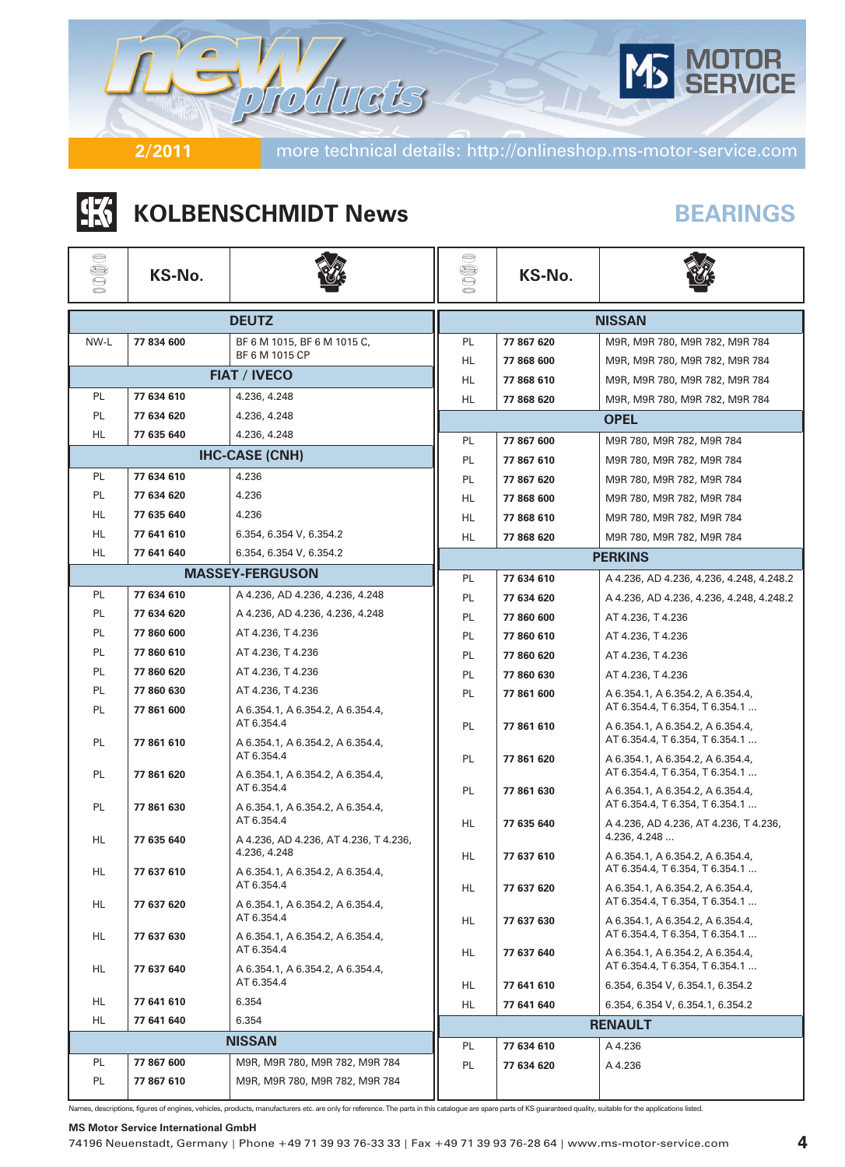

# |张| **KOLBENSCHMIDT News BEARINGS**

| ⊜<br>000     | KS-No.     |                                                     | ⊜<br>$\mathbb{S}$<br>Ó | KS-No.        |                                                                    |  |  |  |
|--------------|------------|-----------------------------------------------------|------------------------|---------------|--------------------------------------------------------------------|--|--|--|
| <b>DEUTZ</b> |            |                                                     |                        | <b>NISSAN</b> |                                                                    |  |  |  |
| NW-L         | 77 834 600 | BF 6 M 1015, BF 6 M 1015 C,                         | PL                     | 77 867 620    | M9R, M9R 780, M9R 782, M9R 784                                     |  |  |  |
|              |            | BF 6 M 1015 CP                                      | HL                     | 77 868 600    | M9R, M9R 780, M9R 782, M9R 784                                     |  |  |  |
|              |            | <b>FIAT / IVECO</b>                                 | HL                     | 77 868 610    | M9R, M9R 780, M9R 782, M9R 784                                     |  |  |  |
| PL           | 77 634 610 | 4.236, 4.248                                        | HL                     | 77 868 620    | M9R, M9R 780, M9R 782, M9R 784                                     |  |  |  |
| PL.          | 77 634 620 | 4.236, 4.248                                        |                        |               | <b>OPEL</b>                                                        |  |  |  |
| HL.          | 77 635 640 | 4.236, 4.248                                        | <b>PL</b>              | 77 867 600    | M9R 780, M9R 782, M9R 784                                          |  |  |  |
|              |            | <b>IHC-CASE (CNH)</b>                               | PL                     | 77 867 610    | M9R 780, M9R 782, M9R 784                                          |  |  |  |
| PL.          | 77 634 610 | 4.236                                               | PL                     | 77 867 620    | M9R 780, M9R 782, M9R 784                                          |  |  |  |
| <b>PL</b>    | 77 634 620 | 4.236                                               | HL                     | 77 868 600    | M9R 780, M9R 782, M9R 784                                          |  |  |  |
| HL           | 77 635 640 | 4.236                                               | HL                     | 77 868 610    | M9R 780, M9R 782, M9R 784                                          |  |  |  |
| HL           | 77 641 610 | 6.354, 6.354 V, 6.354.2                             | HL.                    | 77 868 620    | M9R 780, M9R 782, M9R 784                                          |  |  |  |
| <b>HL</b>    | 77 641 640 | 6.354, 6.354 V, 6.354.2                             |                        |               | <b>PERKINS</b>                                                     |  |  |  |
|              |            | <b>MASSEY-FERGUSON</b>                              | PL.                    | 77 634 610    | A 4.236, AD 4.236, 4.236, 4.248, 4.248.2                           |  |  |  |
| <b>PL</b>    | 77 634 610 | A 4.236, AD 4.236, 4.236, 4.248                     | PL.                    | 77 634 620    | A 4.236, AD 4.236, 4.236, 4.248, 4.248.2                           |  |  |  |
| <b>PL</b>    | 77 634 620 | A 4.236, AD 4.236, 4.236, 4.248                     | PL                     | 77 860 600    | AT 4.236, T 4.236                                                  |  |  |  |
| PL           | 77 860 600 | AT 4.236, T 4.236                                   | PL                     | 77 860 610    | AT 4.236, T 4.236                                                  |  |  |  |
| PL           | 77 860 610 | AT 4.236, T 4.236                                   | PL.                    | 77 860 620    | AT 4.236, T 4.236                                                  |  |  |  |
| <b>PL</b>    | 77 860 620 | AT 4.236, T 4.236                                   | PL                     | 77 860 630    | AT 4.236, T 4.236                                                  |  |  |  |
| <b>PL</b>    | 77 860 630 | AT 4.236, T 4.236                                   | PL                     | 77 861 600    | A 6.354.1, A 6.354.2, A 6.354.4,                                   |  |  |  |
| PL           | 77 861 600 | A 6.354.1, A 6.354.2, A 6.354.4,<br>AT 6.354.4      | PL                     | 77 861 610    | AT 6.354.4, T 6.354, T 6.354.1<br>A 6.354.1, A 6.354.2, A 6.354.4, |  |  |  |
| PL.          | 77 861 610 | A 6.354.1, A 6.354.2, A 6.354.4,<br>AT 6.354.4      | PL                     | 77 861 620    | AT 6.354.4, T 6.354, T 6.354.1<br>A 6.354.1, A 6.354.2, A 6.354.4, |  |  |  |
| PL           | 77 861 620 | A 6.354.1, A 6.354.2, A 6.354.4,                    |                        |               | AT 6.354.4, T 6.354, T 6.354.1                                     |  |  |  |
| <b>PL</b>    | 77 861 630 | AT 6.354.4<br>A 6.354.1, A 6.354.2, A 6.354.4,      | PL                     | 77 861 630    | A 6.354.1, A 6.354.2, A 6.354.4,<br>AT 6.354.4, T 6.354, T 6.354.1 |  |  |  |
| HL           | 77 635 640 | AT 6.354.4<br>A 4.236, AD 4.236, AT 4.236, T 4.236, | HL.                    | 77 635 640    | A 4.236, AD 4.236, AT 4.236, T 4.236,<br>4.236, 4.248              |  |  |  |
| HL.          | 77 637 610 | 4.236, 4.248<br>A 6.354.1, A 6.354.2, A 6.354.4,    | HL                     | 77 637 610    | A 6.354.1, A 6.354.2, A 6.354.4,<br>AT 6.354.4, T 6.354, T 6.354.1 |  |  |  |
| HL           | 77 637 620 | AT 6.354.4<br>A 6.354.1, A 6.354.2, A 6.354.4,      | HL                     | 77 637 620    | A 6.354.1, A 6.354.2, A 6.354.4,<br>AT 6.354.4, T 6.354, T 6.354.1 |  |  |  |
| HL           | 77 637 630 | AT 6.354.4<br>A 6.354.1, A 6.354.2, A 6.354.4,      | HL                     | 77 637 630    | A 6.354.1, A 6.354.2, A 6.354.4,<br>AT 6.354.4, T 6.354, T 6.354.1 |  |  |  |
|              |            | AT 6.354.4                                          | HL.                    | 77 637 640    | A 6.354.1, A 6.354.2, A 6.354.4,                                   |  |  |  |
| HL           | 77 637 640 | A 6.354.1, A 6.354.2, A 6.354.4,<br>AT 6.354.4      | HL                     | 77 641 610    | AT 6.354.4, T 6.354, T 6.354.1<br>6.354, 6.354 V, 6.354.1, 6.354.2 |  |  |  |
| HL           | 77 641 610 | 6.354                                               | HL                     | 77 641 640    | 6.354, 6.354 V, 6.354.1, 6.354.2                                   |  |  |  |
| HL           | 77 641 640 | 6.354                                               |                        |               | <b>RENAULT</b>                                                     |  |  |  |
|              |            | <b>NISSAN</b>                                       | PL                     | 77 634 610    | A 4.236                                                            |  |  |  |
| PL           | 77 867 600 | M9R, M9R 780, M9R 782, M9R 784                      | PL                     | 77 634 620    | A 4.236                                                            |  |  |  |
| PL           | 77 867 610 | M9R, M9R 780, M9R 782, M9R 784                      |                        |               |                                                                    |  |  |  |

Names, descriptions, figures of engines, vehicles, products, manufacturers etc. are only for reference. The parts in this catalogue are spare parts of KS guaranteed quality, suitable for the applications listed.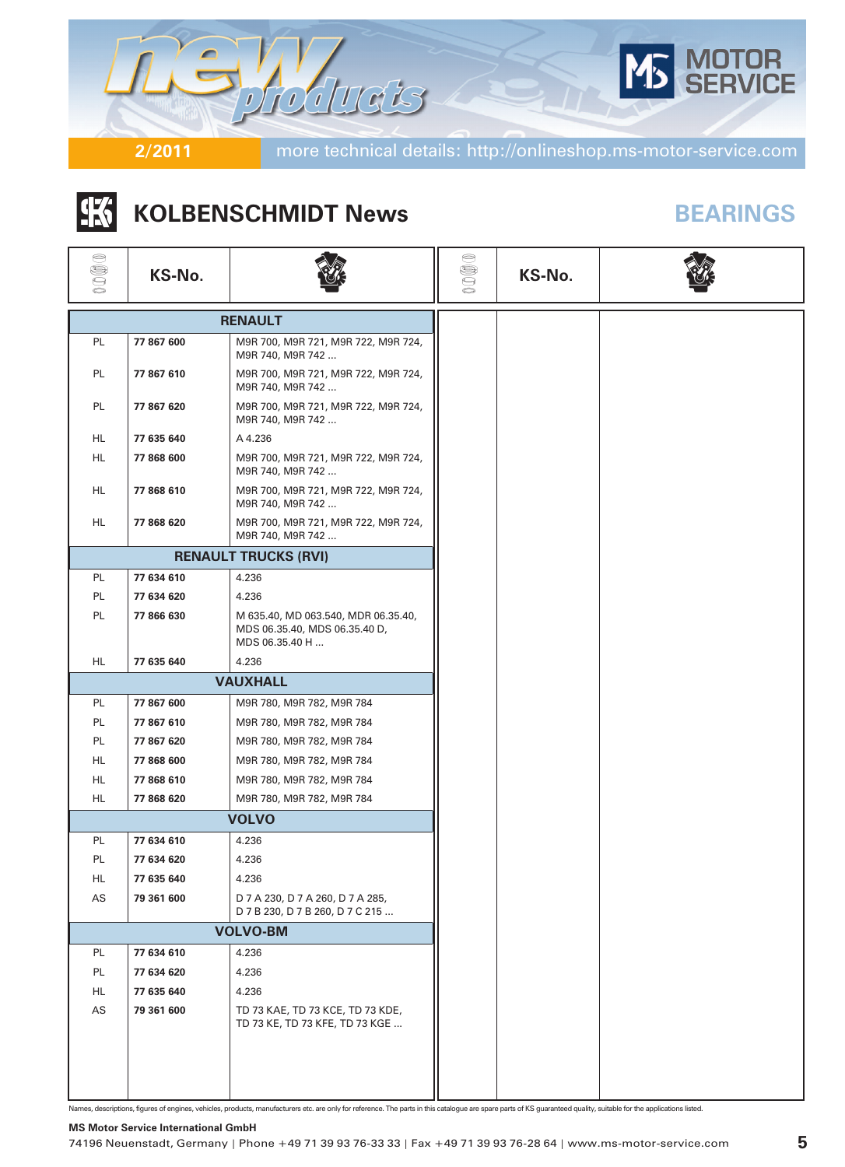

# |张 **KOLBENSCHMIDT News BEARINGS**

| 0000 | KS-No.     |                                                                                        | $\circledcirc$ | KS-No. |  |
|------|------------|----------------------------------------------------------------------------------------|----------------|--------|--|
|      |            | <b>RENAULT</b>                                                                         |                |        |  |
| PL.  | 77 867 600 | M9R 700, M9R 721, M9R 722, M9R 724,<br>M9R 740, M9R 742                                |                |        |  |
| PL.  | 77 867 610 | M9R 700, M9R 721, M9R 722, M9R 724,<br>M9R 740, M9R 742                                |                |        |  |
| PL   | 77 867 620 | M9R 700, M9R 721, M9R 722, M9R 724,<br>M9R 740, M9R 742                                |                |        |  |
| HL.  | 77 635 640 | A 4.236                                                                                |                |        |  |
| HL.  | 77 868 600 | M9R 700, M9R 721, M9R 722, M9R 724,<br>M9R 740, M9R 742                                |                |        |  |
| HL.  | 77 868 610 | M9R 700, M9R 721, M9R 722, M9R 724,<br>M9R 740, M9R 742                                |                |        |  |
| HL.  | 77 868 620 | M9R 700, M9R 721, M9R 722, M9R 724,<br>M9R 740, M9R 742                                |                |        |  |
|      |            | <b>RENAULT TRUCKS (RVI)</b>                                                            |                |        |  |
| PL.  | 77 634 610 | 4.236                                                                                  |                |        |  |
| PL.  | 77 634 620 | 4.236                                                                                  |                |        |  |
| PL.  | 77 866 630 | M 635.40, MD 063.540, MDR 06.35.40,<br>MDS 06.35.40, MDS 06.35.40 D,<br>MDS 06.35.40 H |                |        |  |
| HL.  | 77 635 640 | 4.236                                                                                  |                |        |  |
|      |            | <b>VAUXHALL</b>                                                                        |                |        |  |
| PL   | 77 867 600 | M9R 780, M9R 782, M9R 784                                                              |                |        |  |
| PL   | 77 867 610 | M9R 780, M9R 782, M9R 784                                                              |                |        |  |
| PL.  | 77 867 620 | M9R 780, M9R 782, M9R 784                                                              |                |        |  |
| HL.  | 77 868 600 | M9R 780, M9R 782, M9R 784                                                              |                |        |  |
| HL.  | 77 868 610 | M9R 780, M9R 782, M9R 784                                                              |                |        |  |
| HL.  | 77 868 620 | M9R 780, M9R 782, M9R 784                                                              |                |        |  |
|      |            | <b>VOLVO</b>                                                                           |                |        |  |
| PL   | 77 634 610 | 4.236                                                                                  |                |        |  |
| PL   | 77 634 620 | 4.236                                                                                  |                |        |  |
| HL.  | 77 635 640 | 4.236                                                                                  |                |        |  |
| AS   | 79 361 600 | D 7 A 230, D 7 A 260, D 7 A 285,<br>D 7 B 230, D 7 B 260, D 7 C 215                    |                |        |  |
|      |            | <b>VOLVO-BM</b>                                                                        |                |        |  |
| PL   | 77 634 610 | 4.236                                                                                  |                |        |  |
| PL   | 77 634 620 | 4.236                                                                                  |                |        |  |
| HL   | 77 635 640 | 4.236                                                                                  |                |        |  |
| AS   | 79 361 600 | TD 73 KAE, TD 73 KCE, TD 73 KDE,<br>TD 73 KE, TD 73 KFE, TD 73 KGE                     |                |        |  |
|      |            |                                                                                        |                |        |  |

Names, descriptions, figures of engines, vehicles, products, manufacturers etc. are only for reference. The parts in this catalogue are spare parts of KS guaranteed quality, suitable for the applications listed.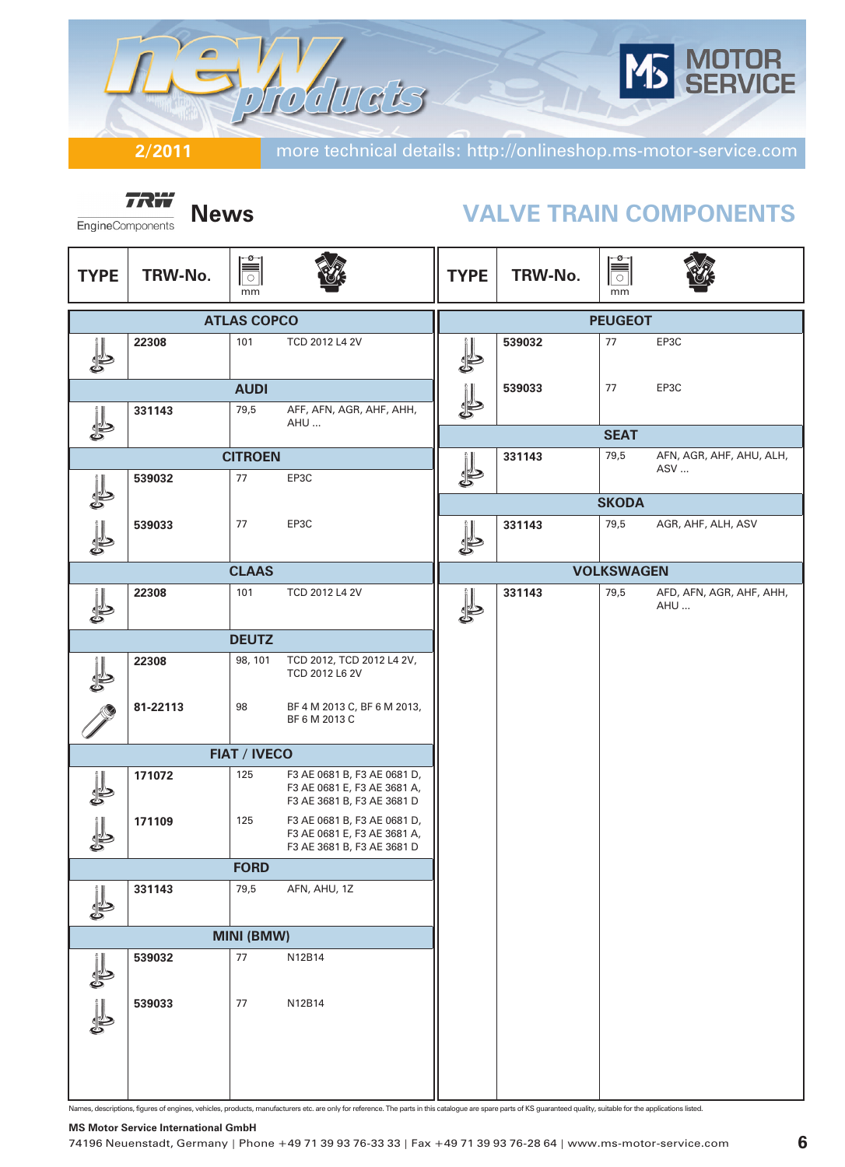)TOR<br>RVICE ducts  $\overline{\mathcal{L}}$  $\overline{\mathcal{C}}$ 

**2/2011** more technical details: http://onlineshop.ms-motor-service.com

**TRW** EngineComponents

# **News VALVE TRAIN COMPONENTS**

| <b>TYPE</b>       | TRW-No.  | ≡ّ<br>$\circ$<br>mm |                                                                                          | <b>TYPE</b> | TRW-No. | Ħ<br>mm           |                                 |
|-------------------|----------|---------------------|------------------------------------------------------------------------------------------|-------------|---------|-------------------|---------------------------------|
|                   |          | <b>ATLAS COPCO</b>  |                                                                                          |             |         | <b>PEUGEOT</b>    |                                 |
|                   | 22308    | 101                 | TCD 2012 L4 2V                                                                           |             | 539032  | 77                | EP3C                            |
|                   |          | <b>AUDI</b>         |                                                                                          |             | 539033  | 77                | EP3C                            |
|                   | 331143   | 79,5                | AFF, AFN, AGR, AHF, AHH,<br>AHU                                                          | \$          |         |                   |                                 |
|                   |          |                     |                                                                                          |             |         | <b>SEAT</b>       |                                 |
|                   |          | <b>CITROEN</b>      |                                                                                          |             | 331143  | 79,5              | AFN, AGR, AHF, AHU, ALH,<br>ASV |
|                   | 539032   | 77                  | EP3C                                                                                     |             |         |                   |                                 |
|                   |          |                     |                                                                                          |             |         | <b>SKODA</b>      |                                 |
|                   | 539033   | 77                  | EP3C                                                                                     |             | 331143  | 79,5              | AGR, AHF, ALH, ASV              |
|                   |          | <b>CLAAS</b>        |                                                                                          |             |         | <b>VOLKSWAGEN</b> |                                 |
|                   | 22308    | 101                 | TCD 2012 L4 2V                                                                           |             | 331143  | 79,5              | AFD, AFN, AGR, AHF, AHH,<br>AHU |
|                   |          | <b>DEUTZ</b>        |                                                                                          |             |         |                   |                                 |
|                   | 22308    | 98, 101             | TCD 2012, TCD 2012 L4 2V,<br>TCD 2012 L6 2V                                              |             |         |                   |                                 |
|                   | 81-22113 | 98                  | BF 4 M 2013 C, BF 6 M 2013,<br>BF 6 M 2013 C                                             |             |         |                   |                                 |
|                   |          | <b>FIAT / IVECO</b> |                                                                                          |             |         |                   |                                 |
|                   | 171072   | 125                 | F3 AE 0681 B, F3 AE 0681 D,<br>F3 AE 0681 E, F3 AE 3681 A,<br>F3 AE 3681 B, F3 AE 3681 D |             |         |                   |                                 |
| J                 | 171109   | 125                 | F3 AE 0681 B, F3 AE 0681 D,<br>F3 AE 0681 E, F3 AE 3681 A,<br>F3 AE 3681 B, F3 AE 3681 D |             |         |                   |                                 |
|                   |          | <b>FORD</b>         |                                                                                          |             |         |                   |                                 |
|                   | 331143   | 79,5                | AFN, AHU, 1Z                                                                             |             |         |                   |                                 |
| <b>MINI (BMW)</b> |          |                     |                                                                                          |             |         |                   |                                 |
|                   | 539032   | $77$                | N12B14                                                                                   |             |         |                   |                                 |
| J                 | 539033   | 77                  | N12B14                                                                                   |             |         |                   |                                 |
|                   |          |                     |                                                                                          |             |         |                   |                                 |

Names, descriptions, figures of engines, vehicles, products, manufacturers etc. are only for reference. The parts in this catalogue are spare parts of KS guaranteed quality, suitable for the applications listed.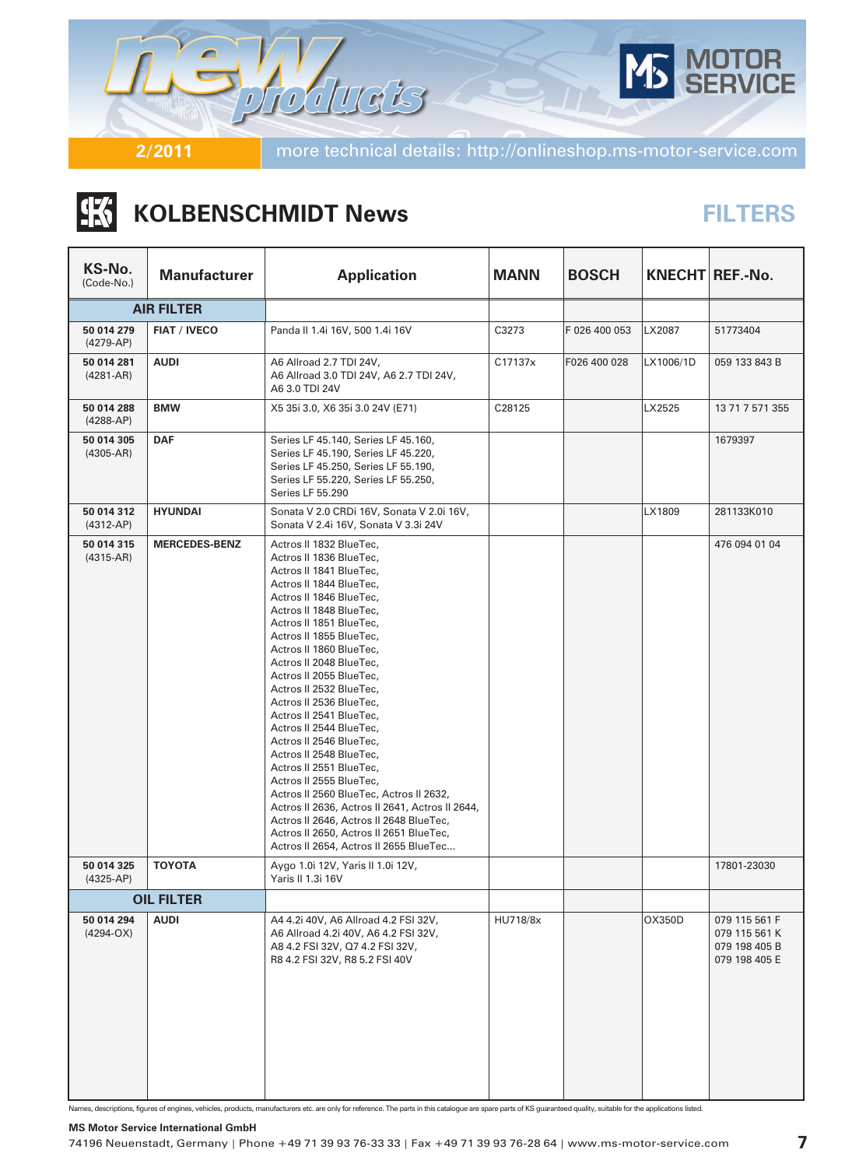

## |张 **KOLBENSCHMIDT News**

# **FILTERS**

| KS-No.<br>(Code-No.)        | <b>Manufacturer</b>  | <b>Application</b>                                                                                                                                                                                                                                                                                                                                                                                                                                                                                                                                                                                                                                                                                                                                          | <b>MANN</b> | <b>BOSCH</b>  |           | KNECHT REF.-No.                                                  |
|-----------------------------|----------------------|-------------------------------------------------------------------------------------------------------------------------------------------------------------------------------------------------------------------------------------------------------------------------------------------------------------------------------------------------------------------------------------------------------------------------------------------------------------------------------------------------------------------------------------------------------------------------------------------------------------------------------------------------------------------------------------------------------------------------------------------------------------|-------------|---------------|-----------|------------------------------------------------------------------|
|                             | <b>AIR FILTER</b>    |                                                                                                                                                                                                                                                                                                                                                                                                                                                                                                                                                                                                                                                                                                                                                             |             |               |           |                                                                  |
| 50 014 279<br>$(4279-AP)$   | <b>FIAT / IVECO</b>  | Panda II 1.4i 16V, 500 1.4i 16V                                                                                                                                                                                                                                                                                                                                                                                                                                                                                                                                                                                                                                                                                                                             | C3273       | F 026 400 053 | LX2087    | 51773404                                                         |
| 50 014 281<br>$(4281 - AR)$ | <b>AUDI</b>          | A6 Allroad 2.7 TDI 24V,<br>A6 Allroad 3.0 TDI 24V, A6 2.7 TDI 24V,<br>A6 3.0 TDI 24V                                                                                                                                                                                                                                                                                                                                                                                                                                                                                                                                                                                                                                                                        | C17137x     | F026 400 028  | LX1006/1D | 059 133 843 B                                                    |
| 50 014 288<br>$(4288-AP)$   | <b>BMW</b>           | X5 35i 3.0, X6 35i 3.0 24V (E71)                                                                                                                                                                                                                                                                                                                                                                                                                                                                                                                                                                                                                                                                                                                            | C28125      |               | LX2525    | 13 71 7 571 355                                                  |
| 50 014 305<br>$(4305-AR)$   | <b>DAF</b>           | Series LF 45.140, Series LF 45.160,<br>Series LF 45.190, Series LF 45.220,<br>Series LF 45.250, Series LF 55.190,<br>Series LF 55.220, Series LF 55.250,<br>Series LF 55.290                                                                                                                                                                                                                                                                                                                                                                                                                                                                                                                                                                                |             |               |           | 1679397                                                          |
| 50 014 312<br>$(4312-AP)$   | <b>HYUNDAI</b>       | Sonata V 2.0 CRDi 16V, Sonata V 2.0i 16V,<br>Sonata V 2.4i 16V, Sonata V 3.3i 24V                                                                                                                                                                                                                                                                                                                                                                                                                                                                                                                                                                                                                                                                           |             |               | LX1809    | 281133K010                                                       |
| 50 014 315<br>$(4315-AR)$   | <b>MERCEDES-BENZ</b> | Actros II 1832 BlueTec,<br>Actros II 1836 BlueTec,<br>Actros II 1841 BlueTec,<br>Actros II 1844 BlueTec,<br>Actros II 1846 BlueTec,<br>Actros II 1848 BlueTec,<br>Actros II 1851 BlueTec,<br>Actros II 1855 BlueTec,<br>Actros II 1860 BlueTec,<br>Actros II 2048 BlueTec,<br>Actros II 2055 BlueTec,<br>Actros II 2532 BlueTec,<br>Actros II 2536 BlueTec,<br>Actros II 2541 BlueTec,<br>Actros II 2544 BlueTec,<br>Actros II 2546 BlueTec,<br>Actros II 2548 BlueTec,<br>Actros II 2551 BlueTec,<br>Actros II 2555 BlueTec,<br>Actros II 2560 BlueTec, Actros II 2632,<br>Actros II 2636, Actros II 2641, Actros II 2644,<br>Actros II 2646, Actros II 2648 BlueTec,<br>Actros II 2650, Actros II 2651 BlueTec,<br>Actros II 2654, Actros II 2655 BlueTec |             |               |           | 476 094 01 04                                                    |
| 50 014 325<br>$(4325-AP)$   | <b>TOYOTA</b>        | Aygo 1.0i 12V, Yaris II 1.0i 12V,<br>Yaris II 1.3i 16V                                                                                                                                                                                                                                                                                                                                                                                                                                                                                                                                                                                                                                                                                                      |             |               |           | 17801-23030                                                      |
|                             | <b>OIL FILTER</b>    |                                                                                                                                                                                                                                                                                                                                                                                                                                                                                                                                                                                                                                                                                                                                                             |             |               |           |                                                                  |
| 50 014 294<br>$(4294-OX)$   | <b>AUDI</b>          | A4 4.2i 40V, A6 Allroad 4.2 FSI 32V,<br>A6 Allroad 4.2i 40V, A6 4.2 FSI 32V,<br>A8 4.2 FSI 32V, Q7 4.2 FSI 32V,<br>R8 4.2 FSI 32V, R8 5.2 FSI 40V                                                                                                                                                                                                                                                                                                                                                                                                                                                                                                                                                                                                           | HU718/8x    |               | OX350D    | 079 115 561 F<br>079 115 561 K<br>079 198 405 B<br>079 198 405 E |

Names, descriptions, figures of engines, vehicles, products, manufacturers etc. are only for reference. The parts in this catalogue are spare parts of KS guaranteed quality, suitable for the applications listed.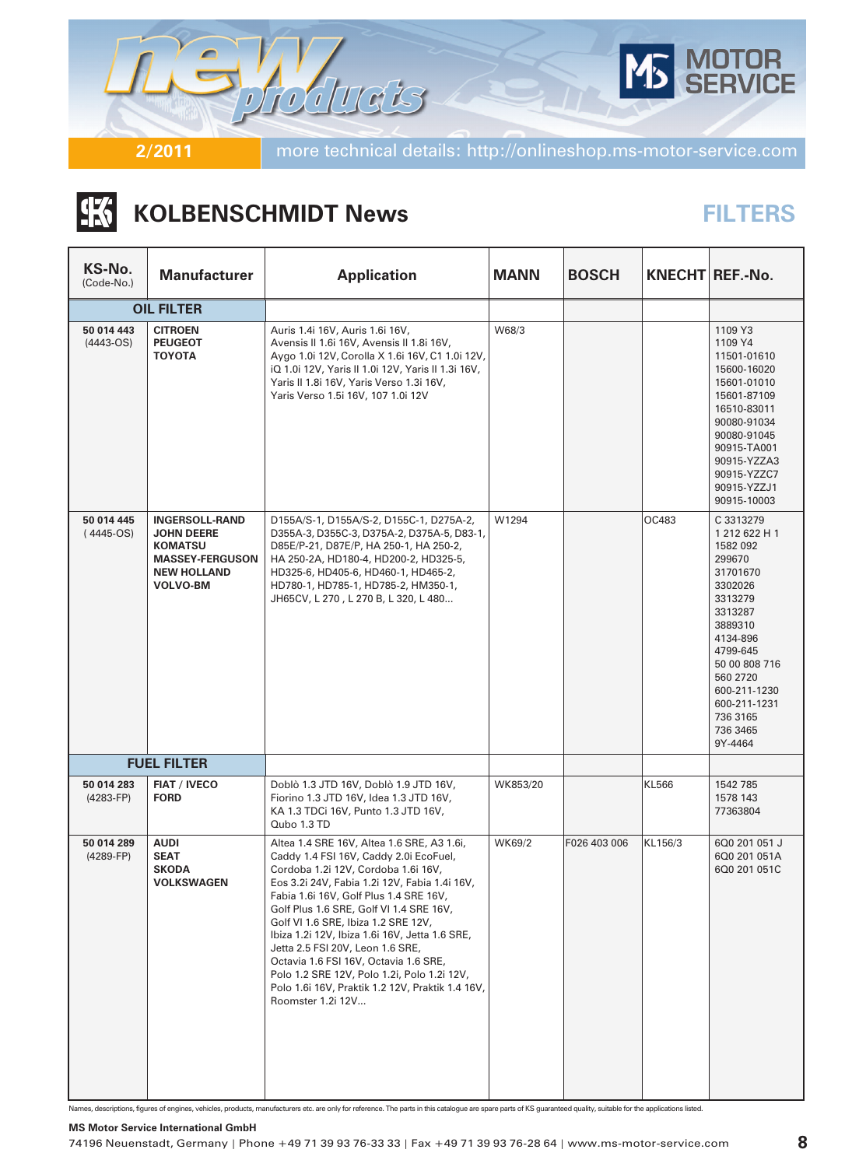

# |张 **KOLBENSCHMIDT News**

# **FILTERS**

| KS-No.<br>(Code-No.)        | <b>Manufacturer</b>                                                                                                             | <b>Application</b>                                                                                                                                                                                                                                                                                                                                                                                                                                                                                                                                              | <b>MANN</b> | <b>BOSCH</b> |         | KNECHT REF.-No.                                                                                                                                                                                                                  |
|-----------------------------|---------------------------------------------------------------------------------------------------------------------------------|-----------------------------------------------------------------------------------------------------------------------------------------------------------------------------------------------------------------------------------------------------------------------------------------------------------------------------------------------------------------------------------------------------------------------------------------------------------------------------------------------------------------------------------------------------------------|-------------|--------------|---------|----------------------------------------------------------------------------------------------------------------------------------------------------------------------------------------------------------------------------------|
|                             | <b>OIL FILTER</b>                                                                                                               |                                                                                                                                                                                                                                                                                                                                                                                                                                                                                                                                                                 |             |              |         |                                                                                                                                                                                                                                  |
| 50 014 443<br>$(4443-OS)$   | <b>CITROEN</b><br><b>PEUGEOT</b><br><b>TOYOTA</b>                                                                               | Auris 1.4i 16V, Auris 1.6i 16V,<br>Avensis II 1.6i 16V, Avensis II 1.8i 16V,<br>Aygo 1.0i 12V, Corolla X 1.6i 16V, C1 1.0i 12V,<br>iQ 1.0i 12V, Yaris II 1.0i 12V, Yaris II 1.3i 16V,<br>Yaris II 1.8i 16V, Yaris Verso 1.3i 16V,<br>Yaris Verso 1.5i 16V, 107 1.0i 12V                                                                                                                                                                                                                                                                                         | W68/3       |              |         | 1109 Y3<br>1109 Y4<br>11501-01610<br>15600-16020<br>15601-01010<br>15601-87109<br>16510-83011<br>90080-91034<br>90080-91045<br>90915-TA001<br>90915-YZZA3<br>90915-YZZC7<br>90915-YZZJ1<br>90915-10003                           |
| 50 014 445<br>$(4445-OS)$   | <b>INGERSOLL-RAND</b><br><b>JOHN DEERE</b><br><b>KOMATSU</b><br><b>MASSEY-FERGUSON</b><br><b>NEW HOLLAND</b><br><b>VOLVO-BM</b> | D155A/S-1, D155A/S-2, D155C-1, D275A-2,<br>D355A-3, D355C-3, D375A-2, D375A-5, D83-1,<br>D85E/P-21, D87E/P, HA 250-1, HA 250-2,<br>HA 250-2A, HD180-4, HD200-2, HD325-5,<br>HD325-6, HD405-6, HD460-1, HD465-2,<br>HD780-1, HD785-1, HD785-2, HM350-1,<br>JH65CV, L 270, L 270 B, L 320, L 480                                                                                                                                                                                                                                                                  | W1294       |              | OC483   | C 3313279<br>1 212 622 H 1<br>1582 092<br>299670<br>31701670<br>3302026<br>3313279<br>3313287<br>3889310<br>4134-896<br>4799-645<br>50 00 808 716<br>560 2720<br>600-211-1230<br>600-211-1231<br>736 3165<br>736 3465<br>9Y-4464 |
|                             | <b>FUEL FILTER</b>                                                                                                              |                                                                                                                                                                                                                                                                                                                                                                                                                                                                                                                                                                 |             |              |         |                                                                                                                                                                                                                                  |
| 50 014 283<br>$(4283 - FP)$ | <b>FIAT / IVECO</b><br><b>FORD</b>                                                                                              | Doblò 1.3 JTD 16V, Doblò 1.9 JTD 16V,<br>Fiorino 1.3 JTD 16V, Idea 1.3 JTD 16V,<br>KA 1.3 TDCi 16V, Punto 1.3 JTD 16V,<br>Qubo 1.3 TD                                                                                                                                                                                                                                                                                                                                                                                                                           | WK853/20    |              | KL566   | 1542 785<br>1578 143<br>77363804                                                                                                                                                                                                 |
| 50 014 289<br>$(4289-FP)$   | <b>AUDI</b><br><b>SEAT</b><br><b>SKODA</b><br><b>VOLKSWAGEN</b>                                                                 | Altea 1.4 SRE 16V, Altea 1.6 SRE, A3 1.6i,<br>Caddy 1.4 FSI 16V, Caddy 2.0i EcoFuel,<br>Cordoba 1.2i 12V, Cordoba 1.6i 16V,<br>Eos 3.2i 24V, Fabia 1.2i 12V, Fabia 1.4i 16V,<br>Fabia 1.6i 16V, Golf Plus 1.4 SRE 16V,<br>Golf Plus 1.6 SRE, Golf VI 1.4 SRE 16V,<br>Golf VI 1.6 SRE, Ibiza 1.2 SRE 12V,<br>Ibiza 1.2i 12V, Ibiza 1.6i 16V, Jetta 1.6 SRE,<br>Jetta 2.5 FSI 20V, Leon 1.6 SRE,<br>Octavia 1.6 FSI 16V, Octavia 1.6 SRE,<br>Polo 1.2 SRE 12V, Polo 1.2i, Polo 1.2i 12V,<br>Polo 1.6i 16V, Praktik 1.2 12V, Praktik 1.4 16V,<br>Roomster 1.2i 12V | WK69/2      | F026 403 006 | KL156/3 | 6Q0 201 051 J<br>6Q0 201 051A<br>6Q0 201 051C                                                                                                                                                                                    |

Names, descriptions, figures of engines, vehicles, products, manufacturers etc. are only for reference. The parts in this catalogue are spare parts of KS guaranteed quality, suitable for the applications listed.